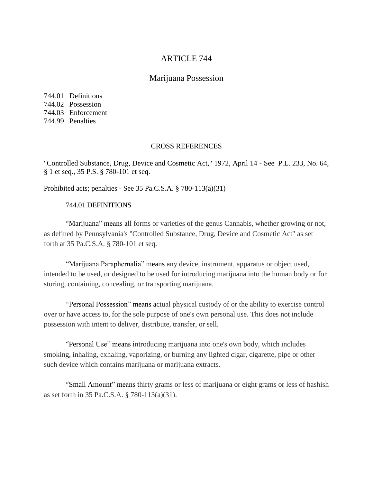# ARTICLE 744

## Marijuana Possession

744.01 Definitions 744.02 Possession 744.03 Enforcement 744.99 Penalties

#### CROSS REFERENCES

"Controlled Substance, Drug, Device and Cosmetic Act," 1972, April 14 - See P.L. 233, No. 64, § 1 et seq., 35 P.S. § 780-101 et seq.

Prohibited acts; penalties - See 35 Pa.C.S.A. § 780-113(a)(31)

## 744.01 DEFINITIONS

"[Marijuana"](https://ecode360.com/31866539#31866539) means all forms or varieties of the genus Cannabis, whether growing or not, as defined by Pennsylvania's "Controlled Substance, Drug, Device and Cosmetic Act" as set forth at 35 Pa.C.S.A. § 780-101 et seq.

"Marijuana Paraphernalia" means any device, instrument, apparatus or object used, intended to be used, or designed to be used for introducing marijuana into the human body or for storing, containing, concealing, or transporting marijuana.

"Personal Possession" means actual physical custody of or the ability to exercise control over or have access to, for the sole purpose of one's own personal use. This does not include possession with intent to deliver, distribute, transfer, or sell.

"[Personal](https://ecode360.com/31866542#31866542) Use" means introducing marijuana into one's own body, which includes smoking, inhaling, exhaling, vaporizing, or burning any lighted cigar, cigarette, pipe or other such device which contains marijuana or marijuana extracts.

"[Small](https://ecode360.com/31866543#31866543) Amount" means thirty grams or less of marijuana or eight grams or less of hashish as set forth in 35 Pa.C.S.A. § 780-113(a)(31).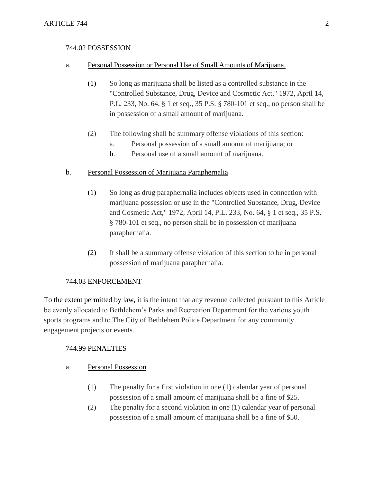### 744.02 POSSESSION

#### a. Personal Possession or Personal Use of Small Amounts of Marijuana.

- (1) So long as marijuana shall be listed as a controlled substance in the "Controlled Substance, Drug, Device and Cosmetic Act," 1972, April 14, P.L. 233, No. 64, § 1 et seq., 35 P.S. § 780-101 et seq., no person shall be in possession of a small amount of marijuana.
- (2) The following shall be summary offense violations of this section:
	- a. Personal possession of a small amount of marijuana; or
	- b. Personal use of a small amount of marijuana.

## b. Personal Possession of Marijuana Paraphernalia

- (1) So long as drug paraphernalia includes objects used in connection with marijuana possession or use in the "Controlled Substance, Drug, Device and Cosmetic Act," 1972, April 14, P.L. 233, No. 64, § 1 et seq., 35 P.S. § 780-101 et seq., no person shall be in possession of marijuana paraphernalia.
- (2) It shall be a summary offense violation of this section to be in personal possession of marijuana paraphernalia.

## 744.03 ENFORCEMENT

To the extent permitted by law, it is the intent that any revenue collected pursuant to this Article be evenly allocated to Bethlehem's Parks and Recreation Department for the various youth sports programs and to The City of Bethlehem Police Department for any community engagement projects or events.

## 744.99 PENALTIES

## a. Personal Possession

- (1) The penalty for a first violation in one (1) calendar year of personal possession of a small amount of marijuana shall be a fine of \$25.
- (2) The penalty for a second violation in one (1) calendar year of personal possession of a small amount of marijuana shall be a fine of \$50.